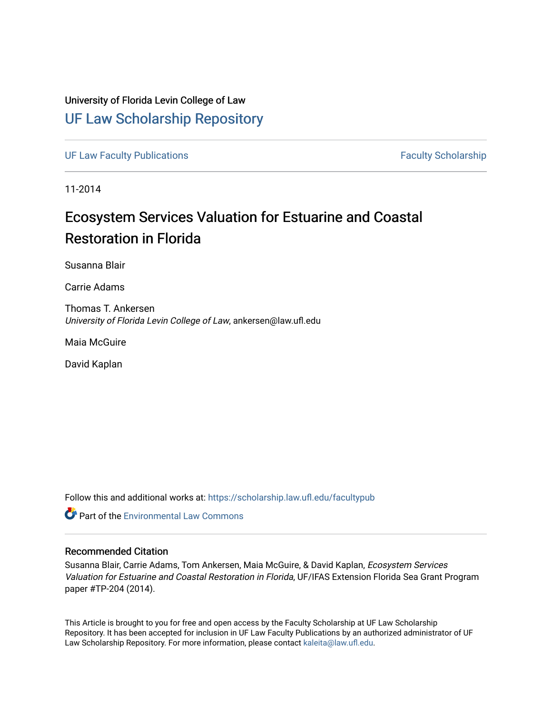### University of Florida Levin College of Law [UF Law Scholarship Repository](https://scholarship.law.ufl.edu/)

[UF Law Faculty Publications](https://scholarship.law.ufl.edu/facultypub) **Faculty Publications** Faculty Scholarship

11-2014

## Ecosystem Services Valuation for Estuarine and Coastal Restoration in Florida

Susanna Blair

Carrie Adams

Thomas T. Ankersen University of Florida Levin College of Law, ankersen@law.ufl.edu

Maia McGuire

David Kaplan

Follow this and additional works at: [https://scholarship.law.ufl.edu/facultypub](https://scholarship.law.ufl.edu/facultypub?utm_source=scholarship.law.ufl.edu%2Ffacultypub%2F1087&utm_medium=PDF&utm_campaign=PDFCoverPages) 

**C** Part of the [Environmental Law Commons](https://network.bepress.com/hgg/discipline/599?utm_source=scholarship.law.ufl.edu%2Ffacultypub%2F1087&utm_medium=PDF&utm_campaign=PDFCoverPages)

#### Recommended Citation

Susanna Blair, Carrie Adams, Tom Ankersen, Maia McGuire, & David Kaplan, Ecosystem Services Valuation for Estuarine and Coastal Restoration in Florida, UF/IFAS Extension Florida Sea Grant Program paper #TP-204 (2014).

This Article is brought to you for free and open access by the Faculty Scholarship at UF Law Scholarship Repository. It has been accepted for inclusion in UF Law Faculty Publications by an authorized administrator of UF Law Scholarship Repository. For more information, please contact [kaleita@law.ufl.edu](mailto:kaleita@law.ufl.edu).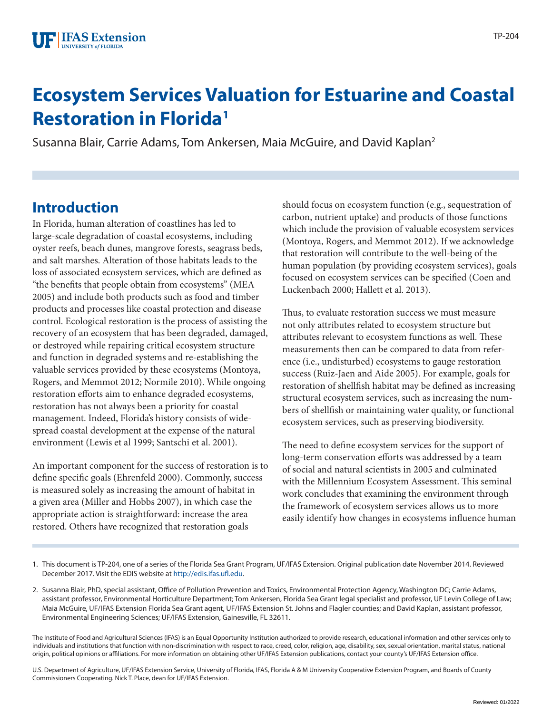# **Ecosystem Services Valuation for Estuarine and Coastal Restoration in Florida1**

Susanna Blair, Carrie Adams, Tom Ankersen, Maia McGuire, and David Kaplan2

## **Introduction**

In Florida, human alteration of coastlines has led to large-scale degradation of coastal ecosystems, including oyster reefs, beach dunes, mangrove forests, seagrass beds, and salt marshes. Alteration of those habitats leads to the loss of associated ecosystem services, which are defined as "the benefits that people obtain from ecosystems" (MEA 2005) and include both products such as food and timber products and processes like coastal protection and disease control. Ecological restoration is the process of assisting the recovery of an ecosystem that has been degraded, damaged, or destroyed while repairing critical ecosystem structure and function in degraded systems and re-establishing the valuable services provided by these ecosystems (Montoya, Rogers, and Memmot 2012; Normile 2010). While ongoing restoration efforts aim to enhance degraded ecosystems, restoration has not always been a priority for coastal management. Indeed, Florida's history consists of widespread coastal development at the expense of the natural environment (Lewis et al 1999; Santschi et al. 2001).

An important component for the success of restoration is to define specific goals (Ehrenfeld 2000). Commonly, success is measured solely as increasing the amount of habitat in a given area (Miller and Hobbs 2007), in which case the appropriate action is straightforward: increase the area restored. Others have recognized that restoration goals

should focus on ecosystem function (e.g., sequestration of carbon, nutrient uptake) and products of those functions which include the provision of valuable ecosystem services (Montoya, Rogers, and Memmot 2012). If we acknowledge that restoration will contribute to the well-being of the human population (by providing ecosystem services), goals focused on ecosystem services can be specified (Coen and Luckenbach 2000; Hallett et al. 2013).

Thus, to evaluate restoration success we must measure not only attributes related to ecosystem structure but attributes relevant to ecosystem functions as well. These measurements then can be compared to data from reference (i.e., undisturbed) ecosystems to gauge restoration success (Ruiz-Jaen and Aide 2005). For example, goals for restoration of shellfish habitat may be defined as increasing structural ecosystem services, such as increasing the numbers of shellfish or maintaining water quality, or functional ecosystem services, such as preserving biodiversity.

The need to define ecosystem services for the support of long-term conservation efforts was addressed by a team of social and natural scientists in 2005 and culminated with the Millennium Ecosystem Assessment. This seminal work concludes that examining the environment through the framework of ecosystem services allows us to more easily identify how changes in ecosystems influence human

2. Susanna Blair, PhD, special assistant, Office of Pollution Prevention and Toxics, Environmental Protection Agency, Washington DC; Carrie Adams, assistant professor, Environmental Horticulture Department; Tom Ankersen, Florida Sea Grant legal specialist and professor, UF Levin College of Law; Maia McGuire, UF/IFAS Extension Florida Sea Grant agent, UF/IFAS Extension St. Johns and Flagler counties; and David Kaplan, assistant professor, Environmental Engineering Sciences; UF/IFAS Extension, Gainesville, FL 32611.

The Institute of Food and Agricultural Sciences (IFAS) is an Equal Opportunity Institution authorized to provide research, educational information and other services only to individuals and institutions that function with non-discrimination with respect to race, creed, color, religion, age, disability, sex, sexual orientation, marital status, national origin, political opinions or affiliations. For more information on obtaining other UF/IFAS Extension publications, contact your county's UF/IFAS Extension office.

U.S. Department of Agriculture, UF/IFAS Extension Service, University of Florida, IFAS, Florida A & M University Cooperative Extension Program, and Boards of County Commissioners Cooperating. Nick T. Place, dean for UF/IFAS Extension.

<sup>1.</sup> This document is TP-204, one of a series of the Florida Sea Grant Program, UF/IFAS Extension. Original publication date November 2014. Reviewed December 2017. Visit the EDIS website at<http://edis.ifas.ufl.edu>.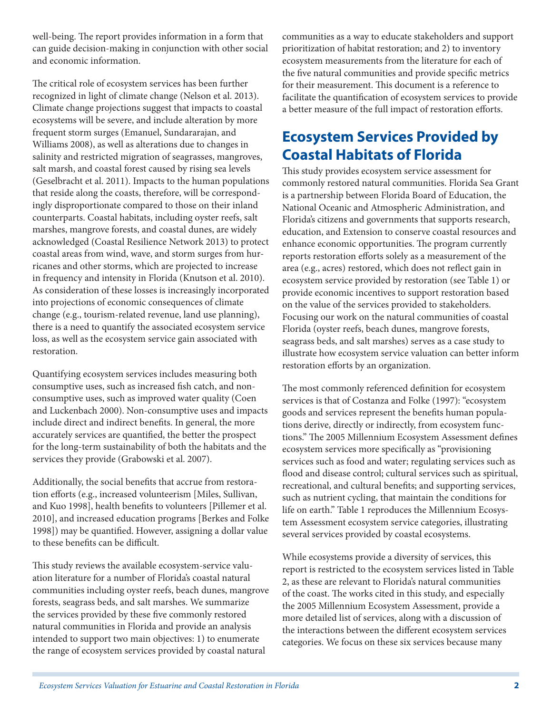well-being. The report provides information in a form that can guide decision-making in conjunction with other social and economic information.

The critical role of ecosystem services has been further recognized in light of climate change (Nelson et al. 2013). Climate change projections suggest that impacts to coastal ecosystems will be severe, and include alteration by more frequent storm surges (Emanuel, Sundararajan, and Williams 2008), as well as alterations due to changes in salinity and restricted migration of seagrasses, mangroves, salt marsh, and coastal forest caused by rising sea levels (Geselbracht et al. 2011). Impacts to the human populations that reside along the coasts, therefore, will be correspondingly disproportionate compared to those on their inland counterparts. Coastal habitats, including oyster reefs, salt marshes, mangrove forests, and coastal dunes, are widely acknowledged (Coastal Resilience Network 2013) to protect coastal areas from wind, wave, and storm surges from hurricanes and other storms, which are projected to increase in frequency and intensity in Florida (Knutson et al. 2010). As consideration of these losses is increasingly incorporated into projections of economic consequences of climate change (e.g., tourism-related revenue, land use planning), there is a need to quantify the associated ecosystem service loss, as well as the ecosystem service gain associated with restoration.

Quantifying ecosystem services includes measuring both consumptive uses, such as increased fish catch, and nonconsumptive uses, such as improved water quality (Coen and Luckenbach 2000). Non-consumptive uses and impacts include direct and indirect benefits. In general, the more accurately services are quantified, the better the prospect for the long-term sustainability of both the habitats and the services they provide (Grabowski et al. 2007).

Additionally, the social benefits that accrue from restoration efforts (e.g., increased volunteerism [Miles, Sullivan, and Kuo 1998], health benefits to volunteers [Pillemer et al. 2010], and increased education programs [Berkes and Folke 1998]) may be quantified. However, assigning a dollar value to these benefits can be difficult.

This study reviews the available ecosystem-service valuation literature for a number of Florida's coastal natural communities including oyster reefs, beach dunes, mangrove forests, seagrass beds, and salt marshes. We summarize the services provided by these five commonly restored natural communities in Florida and provide an analysis intended to support two main objectives: 1) to enumerate the range of ecosystem services provided by coastal natural

communities as a way to educate stakeholders and support prioritization of habitat restoration; and 2) to inventory ecosystem measurements from the literature for each of the five natural communities and provide specific metrics for their measurement. This document is a reference to facilitate the quantification of ecosystem services to provide a better measure of the full impact of restoration efforts.

## **Ecosystem Services Provided by Coastal Habitats of Florida**

This study provides ecosystem service assessment for commonly restored natural communities. Florida Sea Grant is a partnership between Florida Board of Education, the National Oceanic and Atmospheric Administration, and Florida's citizens and governments that supports research, education, and Extension to conserve coastal resources and enhance economic opportunities. The program currently reports restoration efforts solely as a measurement of the area (e.g., acres) restored, which does not reflect gain in ecosystem service provided by restoration (see Table 1) or provide economic incentives to support restoration based on the value of the services provided to stakeholders. Focusing our work on the natural communities of coastal Florida (oyster reefs, beach dunes, mangrove forests, seagrass beds, and salt marshes) serves as a case study to illustrate how ecosystem service valuation can better inform restoration efforts by an organization.

The most commonly referenced definition for ecosystem services is that of Costanza and Folke (1997): "ecosystem goods and services represent the benefits human populations derive, directly or indirectly, from ecosystem functions." The 2005 Millennium Ecosystem Assessment defines ecosystem services more specifically as "provisioning services such as food and water; regulating services such as flood and disease control; cultural services such as spiritual, recreational, and cultural benefits; and supporting services, such as nutrient cycling, that maintain the conditions for life on earth." Table 1 reproduces the Millennium Ecosystem Assessment ecosystem service categories, illustrating several services provided by coastal ecosystems.

While ecosystems provide a diversity of services, this report is restricted to the ecosystem services listed in Table 2, as these are relevant to Florida's natural communities of the coast. The works cited in this study, and especially the 2005 Millennium Ecosystem Assessment, provide a more detailed list of services, along with a discussion of the interactions between the different ecosystem services categories. We focus on these six services because many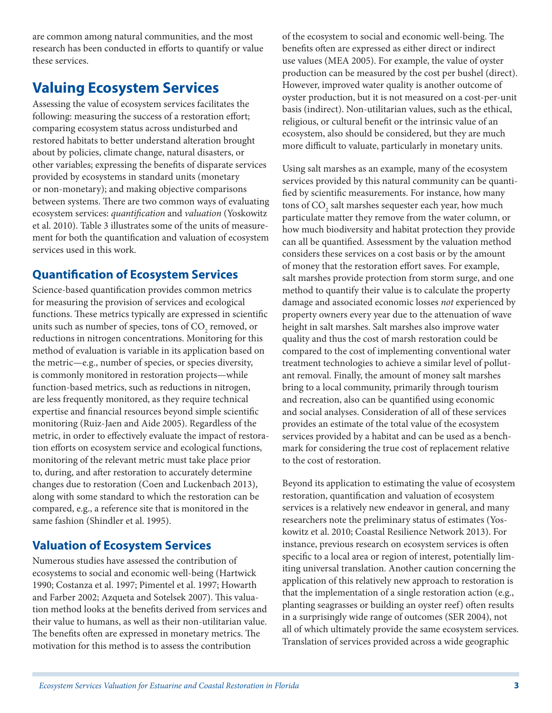are common among natural communities, and the most research has been conducted in efforts to quantify or value these services.

### **Valuing Ecosystem Services**

Assessing the value of ecosystem services facilitates the following: measuring the success of a restoration effort; comparing ecosystem status across undisturbed and restored habitats to better understand alteration brought about by policies, climate change, natural disasters, or other variables; expressing the benefits of disparate services provided by ecosystems in standard units (monetary or non-monetary); and making objective comparisons between systems. There are two common ways of evaluating ecosystem services: *quantification* and *valuation* (Yoskowitz et al. 2010). Table 3 illustrates some of the units of measurement for both the quantification and valuation of ecosystem services used in this work.

### **Quantification of Ecosystem Services**

Science-based quantification provides common metrics for measuring the provision of services and ecological functions. These metrics typically are expressed in scientific units such as number of species, tons of  $\mathrm{CO}_2$  removed, or reductions in nitrogen concentrations. Monitoring for this method of evaluation is variable in its application based on the metric—e.g., number of species, or species diversity, is commonly monitored in restoration projects—while function-based metrics, such as reductions in nitrogen, are less frequently monitored, as they require technical expertise and financial resources beyond simple scientific monitoring (Ruiz-Jaen and Aide 2005). Regardless of the metric, in order to effectively evaluate the impact of restoration efforts on ecosystem service and ecological functions, monitoring of the relevant metric must take place prior to, during, and after restoration to accurately determine changes due to restoration (Coen and Luckenbach 2013), along with some standard to which the restoration can be compared, e.g., a reference site that is monitored in the same fashion (Shindler et al. 1995).

### **Valuation of Ecosystem Services**

Numerous studies have assessed the contribution of ecosystems to social and economic well-being (Hartwick 1990; Costanza et al. 1997; Pimentel et al. 1997; Howarth and Farber 2002; Azqueta and Sotelsek 2007). This valuation method looks at the benefits derived from services and their value to humans, as well as their non-utilitarian value. The benefits often are expressed in monetary metrics. The motivation for this method is to assess the contribution

of the ecosystem to social and economic well-being. The benefits often are expressed as either direct or indirect use values (MEA 2005). For example, the value of oyster production can be measured by the cost per bushel (direct). However, improved water quality is another outcome of oyster production, but it is not measured on a cost-per-unit basis (indirect). Non-utilitarian values, such as the ethical, religious, or cultural benefit or the intrinsic value of an ecosystem, also should be considered, but they are much more difficult to valuate, particularly in monetary units.

Using salt marshes as an example, many of the ecosystem services provided by this natural community can be quantified by scientific measurements. For instance, how many tons of  $\mathrm{CO}_\mathrm{2}$  salt marshes sequester each year, how much particulate matter they remove from the water column, or how much biodiversity and habitat protection they provide can all be quantified. Assessment by the valuation method considers these services on a cost basis or by the amount of money that the restoration effort saves. For example, salt marshes provide protection from storm surge, and one method to quantify their value is to calculate the property damage and associated economic losses *not* experienced by property owners every year due to the attenuation of wave height in salt marshes. Salt marshes also improve water quality and thus the cost of marsh restoration could be compared to the cost of implementing conventional water treatment technologies to achieve a similar level of pollutant removal. Finally, the amount of money salt marshes bring to a local community, primarily through tourism and recreation, also can be quantified using economic and social analyses. Consideration of all of these services provides an estimate of the total value of the ecosystem services provided by a habitat and can be used as a benchmark for considering the true cost of replacement relative to the cost of restoration.

Beyond its application to estimating the value of ecosystem restoration, quantification and valuation of ecosystem services is a relatively new endeavor in general, and many researchers note the preliminary status of estimates (Yoskowitz et al. 2010; Coastal Resilience Network 2013). For instance, previous research on ecosystem services is often specific to a local area or region of interest, potentially limiting universal translation. Another caution concerning the application of this relatively new approach to restoration is that the implementation of a single restoration action (e.g., planting seagrasses or building an oyster reef) often results in a surprisingly wide range of outcomes (SER 2004), not all of which ultimately provide the same ecosystem services. Translation of services provided across a wide geographic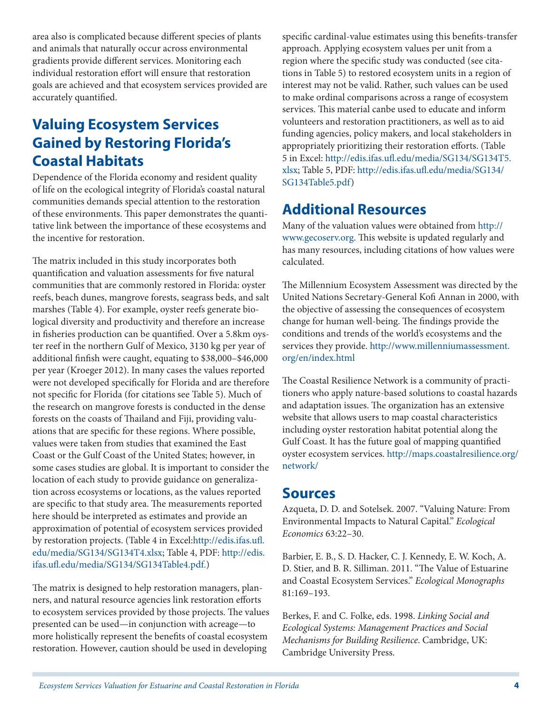area also is complicated because different species of plants and animals that naturally occur across environmental gradients provide different services. Monitoring each individual restoration effort will ensure that restoration goals are achieved and that ecosystem services provided are accurately quantified.

## **Valuing Ecosystem Services Gained by Restoring Florida's Coastal Habitats**

Dependence of the Florida economy and resident quality of life on the ecological integrity of Florida's coastal natural communities demands special attention to the restoration of these environments. This paper demonstrates the quantitative link between the importance of these ecosystems and the incentive for restoration.

The matrix included in this study incorporates both quantification and valuation assessments for five natural communities that are commonly restored in Florida: oyster reefs, beach dunes, mangrove forests, seagrass beds, and salt marshes (Table 4). For example, oyster reefs generate biological diversity and productivity and therefore an increase in fisheries production can be quantified. Over a 5.8km oyster reef in the northern Gulf of Mexico, 3130 kg per year of additional finfish were caught, equating to \$38,000–\$46,000 per year (Kroeger 2012). In many cases the values reported were not developed specifically for Florida and are therefore not specific for Florida (for citations see Table 5). Much of the research on mangrove forests is conducted in the dense forests on the coasts of Thailand and Fiji, providing valuations that are specific for these regions. Where possible, values were taken from studies that examined the East Coast or the Gulf Coast of the United States; however, in some cases studies are global. It is important to consider the location of each study to provide guidance on generalization across ecosystems or locations, as the values reported are specific to that study area. The measurements reported here should be interpreted as estimates and provide an approximation of potential of ecosystem services provided by restoration projects. (Table 4 in Excel[:http://edis.ifas.ufl.](http://edis.ifas.ufl.edu/media/SG134/SG134T4.xlsx) [edu/media/SG134/SG134T4.xlsx](http://edis.ifas.ufl.edu/media/SG134/SG134T4.xlsx); Table 4, PDF: [http://edis.](http://edis.ifas.ufl.edu/media/SG134/SG134Table4.pdf) [ifas.ufl.edu/media/SG134/SG134Table4.pdf.\)](http://edis.ifas.ufl.edu/media/SG134/SG134Table4.pdf)

The matrix is designed to help restoration managers, planners, and natural resource agencies link restoration efforts to ecosystem services provided by those projects. The values presented can be used—in conjunction with acreage—to more holistically represent the benefits of coastal ecosystem restoration. However, caution should be used in developing

specific cardinal-value estimates using this benefits-transfer approach. Applying ecosystem values per unit from a region where the specific study was conducted (see citations in Table 5) to restored ecosystem units in a region of interest may not be valid. Rather, such values can be used to make ordinal comparisons across a range of ecosystem services. This material canbe used to educate and inform volunteers and restoration practitioners, as well as to aid funding agencies, policy makers, and local stakeholders in appropriately prioritizing their restoration efforts. (Table 5 in Excel: [http://edis.ifas.ufl.edu/media/SG134/SG134T5.](http://edis.ifas.ufl.edu/media/SG134/SG134T5.xlsx) [xlsx](http://edis.ifas.ufl.edu/media/SG134/SG134T5.xlsx); Table 5, PDF: [http://edis.ifas.ufl.edu/media/SG134/](http://edis.ifas.ufl.edu/media/SG134/SG134Table5.pdf) [SG134Table5.pdf](http://edis.ifas.ufl.edu/media/SG134/SG134Table5.pdf))

### **Additional Resources**

Many of the valuation values were obtained from [http://](http://www.gecoserv.org) [www.gecoserv.org](http://www.gecoserv.org). This website is updated regularly and has many resources, including citations of how values were calculated.

The Millennium Ecosystem Assessment was directed by the United Nations Secretary-General Kofi Annan in 2000, with the objective of assessing the consequences of ecosystem change for human well-being. The findings provide the conditions and trends of the world's ecosystems and the services they provide. [http://www.millenniumassessment.](http://www.millenniumassessment.org/en/index.html) [org/en/index.html](http://www.millenniumassessment.org/en/index.html)

The Coastal Resilience Network is a community of practitioners who apply nature-based solutions to coastal hazards and adaptation issues. The organization has an extensive website that allows users to map coastal characteristics including oyster restoration habitat potential along the Gulf Coast. It has the future goal of mapping quantified oyster ecosystem services. [http://maps.coastalresilience.org/](http://maps.coastalresilience.org/network/) [network/](http://maps.coastalresilience.org/network/)

### **Sources**

Azqueta, D. D. and Sotelsek. 2007. "Valuing Nature: From Environmental Impacts to Natural Capital." *Ecological Economics* 63:22–30.

Barbier, E. B., S. D. Hacker, C. J. Kennedy, E. W. Koch, A. D. Stier, and B. R. Silliman. 2011. "The Value of Estuarine and Coastal Ecosystem Services." *Ecological Monographs* 81:169–193.

Berkes, F. and C. Folke, eds. 1998. *Linking Social and Ecological Systems: Management Practices and Social Mechanisms for Building Resilience*. Cambridge, UK: Cambridge University Press.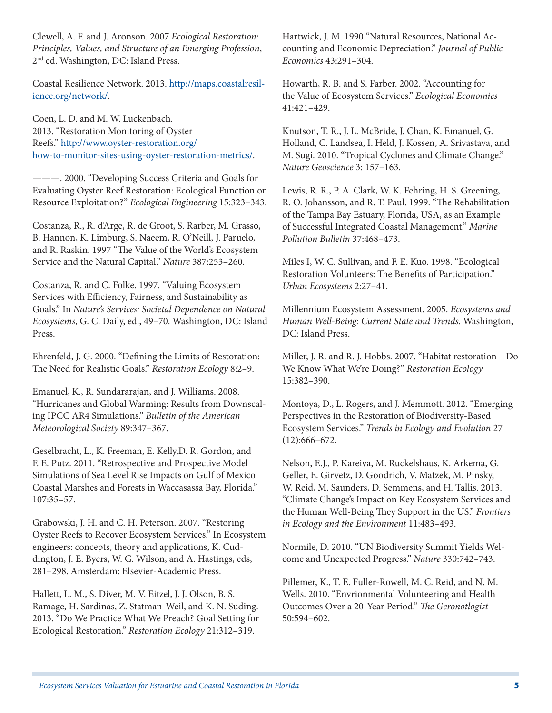Clewell, A. F. and J. Aronson. 2007 *Ecological Restoration: Principles, Values, and Structure of an Emerging Profession*, 2nd ed. Washington, DC: Island Press.

Coastal Resilience Network. 2013. [http://maps.coastalresil](http://maps.coastalresilience.org/network/)[ience.org/network/.](http://maps.coastalresilience.org/network/)

Coen, L. D. and M. W. Luckenbach. 2013. "Restoration Monitoring of Oyster Reefs." [http://www.oyster-restoration.org/](http://www.oyster-restoration.org/how-to-monitor-sites-using-oyster-restoration-metrics/) [how-to-monitor-sites-using-oyster-restoration-metrics/](http://www.oyster-restoration.org/how-to-monitor-sites-using-oyster-restoration-metrics/).

———. 2000. "Developing Success Criteria and Goals for Evaluating Oyster Reef Restoration: Ecological Function or Resource Exploitation?" *Ecological Engineering* 15:323–343.

Costanza, R., R. d'Arge, R. de Groot, S. Rarber, M. Grasso, B. Hannon, K. Limburg, S. Naeem, R. O'Neill, J. Paruelo, and R. Raskin. 1997 "The Value of the World's Ecosystem Service and the Natural Capital." *Nature* 387:253–260.

Costanza, R. and C. Folke. 1997. "Valuing Ecosystem Services with Efficiency, Fairness, and Sustainability as Goals." In *Nature's Services: Societal Dependence on Natural Ecosystems*, G. C. Daily, ed., 49–70. Washington, DC: Island Press.

Ehrenfeld, J. G. 2000. "Defining the Limits of Restoration: The Need for Realistic Goals." *Restoration Ecology* 8:2–9.

Emanuel, K., R. Sundararajan, and J. Williams. 2008. "Hurricanes and Global Warming: Results from Downscaling IPCC AR4 Simulations." *Bulletin of the American Meteorological Society* 89:347–367.

Geselbracht, L., K. Freeman, E. Kelly,D. R. Gordon, and F. E. Putz. 2011. "Retrospective and Prospective Model Simulations of Sea Level Rise Impacts on Gulf of Mexico Coastal Marshes and Forests in Waccasassa Bay, Florida." 107:35–57.

Grabowski, J. H. and C. H. Peterson. 2007. "Restoring Oyster Reefs to Recover Ecosystem Services." In Ecosystem engineers: concepts, theory and applications, K. Cuddington, J. E. Byers, W. G. Wilson, and A. Hastings, eds, 281–298. Amsterdam: Elsevier-Academic Press.

Hallett, L. M., S. Diver, M. V. Eitzel, J. J. Olson, B. S. Ramage, H. Sardinas, Z. Statman-Weil, and K. N. Suding. 2013. "Do We Practice What We Preach? Goal Setting for Ecological Restoration." *Restoration Ecology* 21:312–319.

Hartwick, J. M. 1990 "Natural Resources, National Accounting and Economic Depreciation." *Journal of Public Economics* 43:291–304.

Howarth, R. B. and S. Farber. 2002. "Accounting for the Value of Ecosystem Services." *Ecological Economics* 41:421–429.

Knutson, T. R., J. L. McBride, J. Chan, K. Emanuel, G. Holland, C. Landsea, I. Held, J. Kossen, A. Srivastava, and M. Sugi. 2010. "Tropical Cyclones and Climate Change." *Nature Geoscience* 3: 157–163.

Lewis, R. R., P. A. Clark, W. K. Fehring, H. S. Greening, R. O. Johansson, and R. T. Paul. 1999. "The Rehabilitation of the Tampa Bay Estuary, Florida, USA, as an Example of Successful Integrated Coastal Management." *Marine Pollution Bulletin* 37:468–473.

Miles I, W. C. Sullivan, and F. E. Kuo. 1998. "Ecological Restoration Volunteers: The Benefits of Participation." *Urban Ecosystems* 2:27–41.

Millennium Ecosystem Assessment. 2005. *Ecosystems and Human Well-Being: Current State and Trends.* Washington, DC: Island Press.

Miller, J. R. and R. J. Hobbs. 2007. "Habitat restoration—Do We Know What We're Doing?" *Restoration Ecology* 15:382–390.

Montoya, D., L. Rogers, and J. Memmott. 2012. "Emerging Perspectives in the Restoration of Biodiversity-Based Ecosystem Services." *Trends in Ecology and Evolution* 27 (12):666–672.

Nelson, E.J., P. Kareiva, M. Ruckelshaus, K. Arkema, G. Geller, E. Girvetz, D. Goodrich, V. Matzek, M. Pinsky, W. Reid, M. Saunders, D. Semmens, and H. Tallis. 2013. "Climate Change's Impact on Key Ecosystem Services and the Human Well-Being They Support in the US." *Frontiers in Ecology and the Environment* 11:483–493.

Normile, D. 2010. "UN Biodiversity Summit Yields Welcome and Unexpected Progress." *Nature* 330:742–743.

Pillemer, K., T. E. Fuller-Rowell, M. C. Reid, and N. M. Wells. 2010. "Envrionmental Volunteering and Health Outcomes Over a 20-Year Period." *The Geronotlogist* 50:594–602.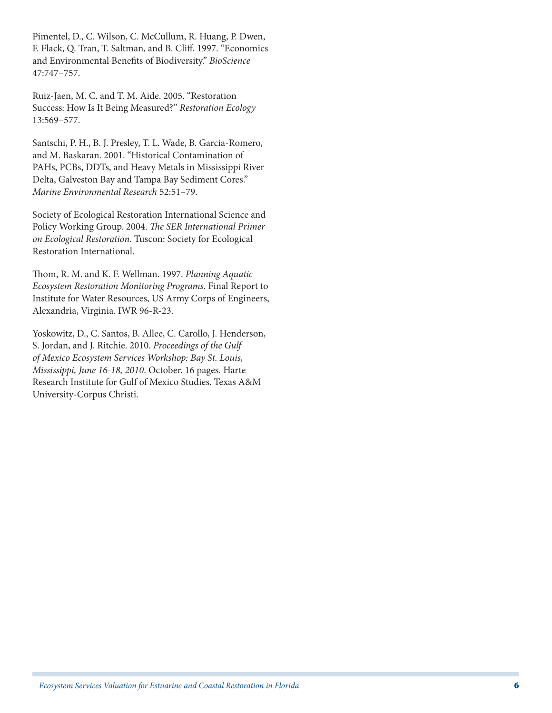Pimentel, D., C. Wilson, C. McCullum, R. Huang, P. Dwen, F. Flack, Q. Tran, T. Saltman, and B. Cliff. 1997. "Economics and Environmental Benefits of Biodiversity." *BioScience* 47:747–757.

Ruiz-Jaen, M. C. and T. M. Aide. 2005. "Restoration Success: How Is It Being Measured?" *Restoration Ecology* 13:569–577.

Santschi, P. H., B. J. Presley, T. L. Wade, B. Garcia-Romero, and M. Baskaran. 2001. "Historical Contamination of PAHs, PCBs, DDTs, and Heavy Metals in Mississippi River Delta, Galveston Bay and Tampa Bay Sediment Cores." *Marine Environmental Research* 52:51–79.

Society of Ecological Restoration International Science and Policy Working Group. 2004. *The SER International Primer on Ecological Restoration*. Tuscon: Society for Ecological Restoration International.

Thom, R. M. and K. F. Wellman. 1997. *Planning Aquatic Ecosystem Restoration Monitoring Programs*. Final Report to Institute for Water Resources, US Army Corps of Engineers, Alexandria, Virginia. IWR 96-R-23.

Yoskowitz, D., C. Santos, B. Allee, C. Carollo, J. Henderson, S. Jordan, and J. Ritchie. 2010. *Proceedings of the Gulf of Mexico Ecosystem Services Workshop: Bay St. Louis, Mississippi, June 16-18, 2010*. October. 16 pages. Harte Research Institute for Gulf of Mexico Studies. Texas A&M University-Corpus Christi.